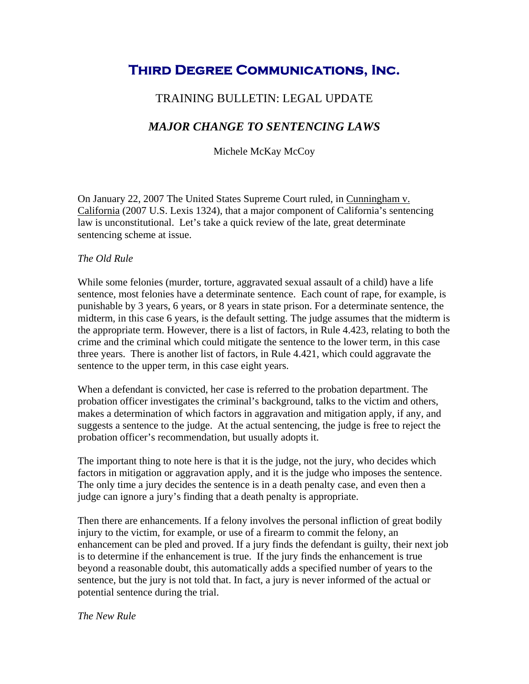# **Third Degree Communications, Inc.**

### TRAINING BULLETIN: LEGAL UPDATE

## *MAJOR CHANGE TO SENTENCING LAWS*

Michele McKay McCoy

On January 22, 2007 The United States Supreme Court ruled, in Cunningham v. California (2007 U.S. Lexis 1324), that a major component of California's sentencing law is unconstitutional. Let's take a quick review of the late, great determinate sentencing scheme at issue.

#### *The Old Rule*

While some felonies (murder, torture, aggravated sexual assault of a child) have a life sentence, most felonies have a determinate sentence. Each count of rape, for example, is punishable by 3 years, 6 years, or 8 years in state prison. For a determinate sentence, the midterm, in this case 6 years, is the default setting. The judge assumes that the midterm is the appropriate term. However, there is a list of factors, in Rule 4.423, relating to both the crime and the criminal which could mitigate the sentence to the lower term, in this case three years. There is another list of factors, in Rule 4.421, which could aggravate the sentence to the upper term, in this case eight years.

When a defendant is convicted, her case is referred to the probation department. The probation officer investigates the criminal's background, talks to the victim and others, makes a determination of which factors in aggravation and mitigation apply, if any, and suggests a sentence to the judge. At the actual sentencing, the judge is free to reject the probation officer's recommendation, but usually adopts it.

The important thing to note here is that it is the judge, not the jury, who decides which factors in mitigation or aggravation apply, and it is the judge who imposes the sentence. The only time a jury decides the sentence is in a death penalty case, and even then a judge can ignore a jury's finding that a death penalty is appropriate.

Then there are enhancements. If a felony involves the personal infliction of great bodily injury to the victim, for example, or use of a firearm to commit the felony, an enhancement can be pled and proved. If a jury finds the defendant is guilty, their next job is to determine if the enhancement is true. If the jury finds the enhancement is true beyond a reasonable doubt, this automatically adds a specified number of years to the sentence, but the jury is not told that. In fact, a jury is never informed of the actual or potential sentence during the trial.

*The New Rule*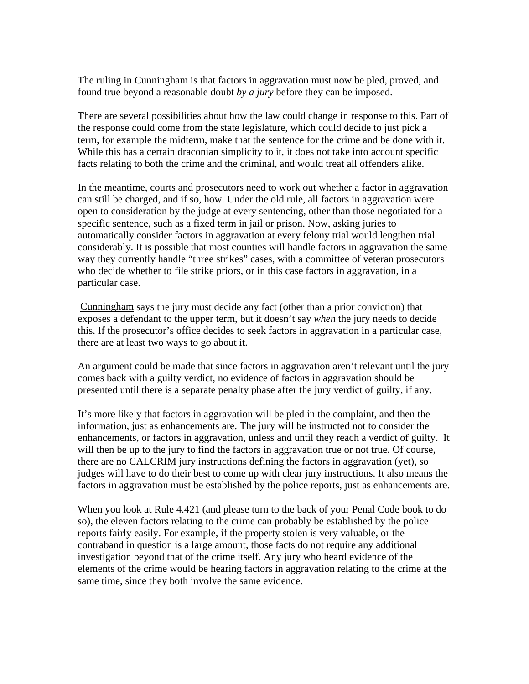The ruling in Cunningham is that factors in aggravation must now be pled, proved, and found true beyond a reasonable doubt *by a jury* before they can be imposed.

There are several possibilities about how the law could change in response to this. Part of the response could come from the state legislature, which could decide to just pick a term, for example the midterm, make that the sentence for the crime and be done with it. While this has a certain draconian simplicity to it, it does not take into account specific facts relating to both the crime and the criminal, and would treat all offenders alike.

In the meantime, courts and prosecutors need to work out whether a factor in aggravation can still be charged, and if so, how. Under the old rule, all factors in aggravation were open to consideration by the judge at every sentencing, other than those negotiated for a specific sentence, such as a fixed term in jail or prison. Now, asking juries to automatically consider factors in aggravation at every felony trial would lengthen trial considerably. It is possible that most counties will handle factors in aggravation the same way they currently handle "three strikes" cases, with a committee of veteran prosecutors who decide whether to file strike priors, or in this case factors in aggravation, in a particular case.

Cunningham says the jury must decide any fact (other than a prior conviction) that exposes a defendant to the upper term, but it doesn't say *when* the jury needs to decide this. If the prosecutor's office decides to seek factors in aggravation in a particular case, there are at least two ways to go about it.

An argument could be made that since factors in aggravation aren't relevant until the jury comes back with a guilty verdict, no evidence of factors in aggravation should be presented until there is a separate penalty phase after the jury verdict of guilty, if any.

It's more likely that factors in aggravation will be pled in the complaint, and then the information, just as enhancements are. The jury will be instructed not to consider the enhancements, or factors in aggravation, unless and until they reach a verdict of guilty. It will then be up to the jury to find the factors in aggravation true or not true. Of course, there are no CALCRIM jury instructions defining the factors in aggravation (yet), so judges will have to do their best to come up with clear jury instructions. It also means the factors in aggravation must be established by the police reports, just as enhancements are.

When you look at Rule 4.421 (and please turn to the back of your Penal Code book to do so), the eleven factors relating to the crime can probably be established by the police reports fairly easily. For example, if the property stolen is very valuable, or the contraband in question is a large amount, those facts do not require any additional investigation beyond that of the crime itself. Any jury who heard evidence of the elements of the crime would be hearing factors in aggravation relating to the crime at the same time, since they both involve the same evidence.